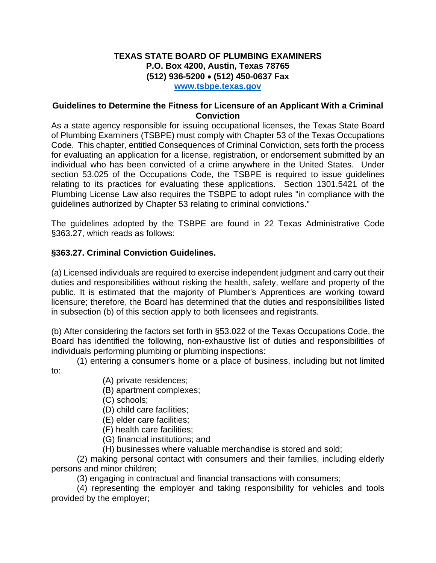## **TEXAS STATE BOARD OF PLUMBING EXAMINERS P.O. Box 4200, Austin, Texas 78765 (512) 936-5200 (512) 450-0637 Fax www.tsbpe.texas.gov**

## **Guidelines to Determine the Fitness for Licensure of an Applicant With a Criminal Conviction**

As a state agency responsible for issuing occupational licenses, the Texas State Board of Plumbing Examiners (TSBPE) must comply with Chapter 53 of the Texas Occupations Code. This chapter, entitled Consequences of Criminal Conviction, sets forth the process for evaluating an application for a license, registration, or endorsement submitted by an individual who has been convicted of a crime anywhere in the United States. Under section 53.025 of the Occupations Code, the TSBPE is required to issue guidelines relating to its practices for evaluating these applications. Section 1301.5421 of the Plumbing License Law also requires the TSBPE to adopt rules "in compliance with the guidelines authorized by Chapter 53 relating to criminal convictions."

The guidelines adopted by the TSBPE are found in 22 Texas Administrative Code §363.27, which reads as follows:

## **§363.27. Criminal Conviction Guidelines.**

(a) Licensed individuals are required to exercise independent judgment and carry out their duties and responsibilities without risking the health, safety, welfare and property of the public. It is estimated that the majority of Plumber's Apprentices are working toward licensure; therefore, the Board has determined that the duties and responsibilities listed in subsection (b) of this section apply to both licensees and registrants.

(b) After considering the factors set forth in §53.022 of the Texas Occupations Code, the Board has identified the following, non-exhaustive list of duties and responsibilities of individuals performing plumbing or plumbing inspections:

 (1) entering a consumer's home or a place of business, including but not limited to:

- (A) private residences;
- (B) apartment complexes;
- (C) schools;
- (D) child care facilities;
- (E) elder care facilities;
- (F) health care facilities;
- (G) financial institutions; and
- (H) businesses where valuable merchandise is stored and sold;

 (2) making personal contact with consumers and their families, including elderly persons and minor children;

(3) engaging in contractual and financial transactions with consumers;

 (4) representing the employer and taking responsibility for vehicles and tools provided by the employer;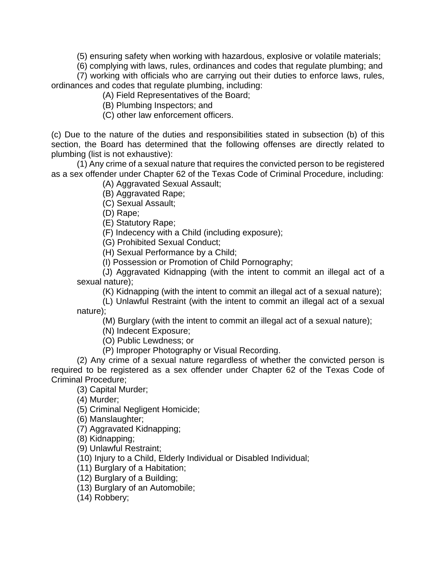(5) ensuring safety when working with hazardous, explosive or volatile materials;

 (6) complying with laws, rules, ordinances and codes that regulate plumbing; and (7) working with officials who are carrying out their duties to enforce laws, rules,

ordinances and codes that regulate plumbing, including: (A) Field Representatives of the Board;

(B) Plumbing Inspectors; and

(C) other law enforcement officers.

(c) Due to the nature of the duties and responsibilities stated in subsection (b) of this section, the Board has determined that the following offenses are directly related to plumbing (list is not exhaustive):

 (1) Any crime of a sexual nature that requires the convicted person to be registered as a sex offender under Chapter 62 of the Texas Code of Criminal Procedure, including:

(A) Aggravated Sexual Assault;

(B) Aggravated Rape;

(C) Sexual Assault;

(D) Rape;

(E) Statutory Rape;

(F) Indecency with a Child (including exposure);

(G) Prohibited Sexual Conduct;

(H) Sexual Performance by a Child;

(I) Possession or Promotion of Child Pornography;

 (J) Aggravated Kidnapping (with the intent to commit an illegal act of a sexual nature);

(K) Kidnapping (with the intent to commit an illegal act of a sexual nature);

 (L) Unlawful Restraint (with the intent to commit an illegal act of a sexual nature);

(M) Burglary (with the intent to commit an illegal act of a sexual nature);

(N) Indecent Exposure;

(O) Public Lewdness; or

(P) Improper Photography or Visual Recording.

 (2) Any crime of a sexual nature regardless of whether the convicted person is required to be registered as a sex offender under Chapter 62 of the Texas Code of Criminal Procedure;

(3) Capital Murder;

(4) Murder;

(5) Criminal Negligent Homicide;

(6) Manslaughter;

(7) Aggravated Kidnapping;

(8) Kidnapping;

(9) Unlawful Restraint;

(10) Injury to a Child, Elderly Individual or Disabled Individual;

(11) Burglary of a Habitation;

(12) Burglary of a Building;

(13) Burglary of an Automobile;

(14) Robbery;